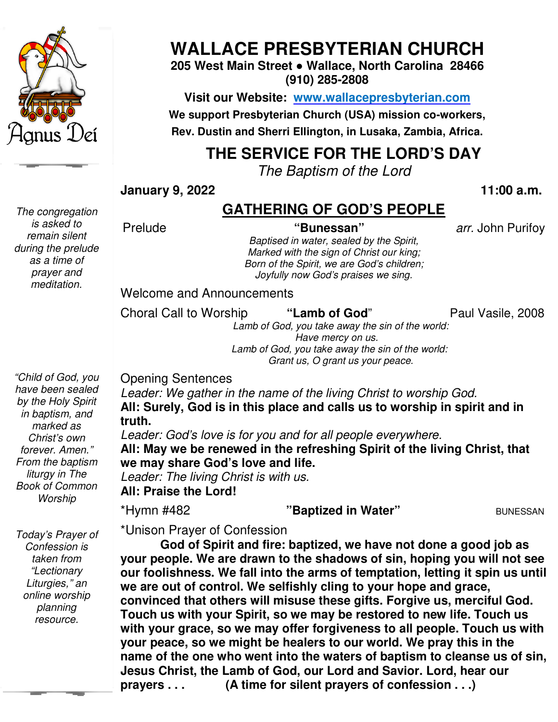

*The congregation is asked to remain silent during the prelude as a time of prayer and meditation.* 

# **WALLACE PRESBYTERIAN CHURCH**

**205 West Main Street ● Wallace, North Carolina 28466 (910) 285-2808** 

**Visit our Website: www.wallacepresbyterian.com** We support Presbyterian Church (USA) mission co-workers, **Rev. Dustin and Sherri Ellington, in Lusaka, Zambia, Africa. Sherri Ellington,** 

# **THE SERVICE FOR THE LORD'S DAY**

*The Baptism of the Lord*

**January 9, 2022** 

 **11:00 a.m**

## **GATHERING OF GOD'S PEOPLE**

Prelude

*Baptised in water, sealed by the Spirit, Marked with the sign of Christ our king;* **Born of the Spirit, we are God's children; "Bunessan"** *arr.* John Purifo Purifoy ed in water, sealed by the Spirit,<br>I with the sign of Christ our king;<br>the Spirit, we are God's children; *Joyfully now God's praises we sing.* 

Welcome and Announcements and Announcements<br>Il to Worship "**Lamb of God**" Paul Vasile, 200

Choral Call to Worship

Paul Vasile, 2008

 *Lamb of God, you take away the sin of the world: Lamb of of God, you take away the sin of the world: Have mercy on us. Grant us, O grant us your peace.* 

Opening Sentences

*Leader: We gather in the name of the living Christ to worship God.* **All: Surely, God is in this place and calls us to worship in spirit and in truth.**  *i*: We gather in the name of the living Chrealy, God is in this place and calls us<br>in this place and calls us:<br>*i* God's love is for you and for all people

*Leader: God's love is for you and for all people everywhere.* All: May we be renewed in the refreshing Spirit of the living Christ, that **we may share God's love and life. God's love** Leader: The living Christ is with us.

**All: Praise the Lord!**

\*Hymn #482

**"Baptized in Water"** BUNESSAN

*Today's Prayer of Confession is taken from "Lectionary Liturgies," an online worship planning resource.* 

\*Unison Prayer of Confession

**God of Spirit and fire: baptized, we have not done a good job as your people. We are drawn to the shadows of sin, hoping you will not see our foolishness. We fall into the arms of temptation, letting it spin us until we are out of control. We selfishly cling to your ho convinced that others will misuse these gifts. Forgive us, merciful God. Touch us with your Spirit, so we may be restored to new life. Touch us with your grace, so we may offer forgiveness to all people. Touch us with your peace, so we might name of the one who went into the waters of baptism to cleanse us of sin, Jesus Christ, the Lamb of God, our Lord and Savior. Lord, hear our prayers . . . (A time for silent prayers of confession . . .)** God of Spirit and fire: baptized, we have not done a good<br>ir people. We are drawn to the shadows of sin, hoping you will<br>foolishness. We fall into the arms of temptation, letting it spil<br>are out of control. We selfishly cl th your Spirit, so we may be restored to new life. Touch **u**<br>ace, so we may offer forgiveness to all people. Touch us<br>so we might be healers to our world. We pray this in the 11:00 a.m.<br> **GATHERING OF GOD'S PEOPLE**<br>
"Bunessan" arr. John Purifoy<br> *Marked vinthe sign of Chinstow king.*<br> *Bon of the sign of the spint, we are God's children;*<br> *Joylully now God's praises we sing.*<br>
Joylully now God od is in this place and calls us to worship in spir<br> *love is for you and for all people everywhere.*<br> **are renewed in the refreshing Spirit of the living C**<br> **God's love and life.**<br> **acking Christ is with us.**<br> **acking Ch** 

*have been sealed by the Holy Spirit in baptism, and marked as Christ's own forever. Amen." From the baptism liturgy in The Book of Common Worship* 

*"Child of God, you*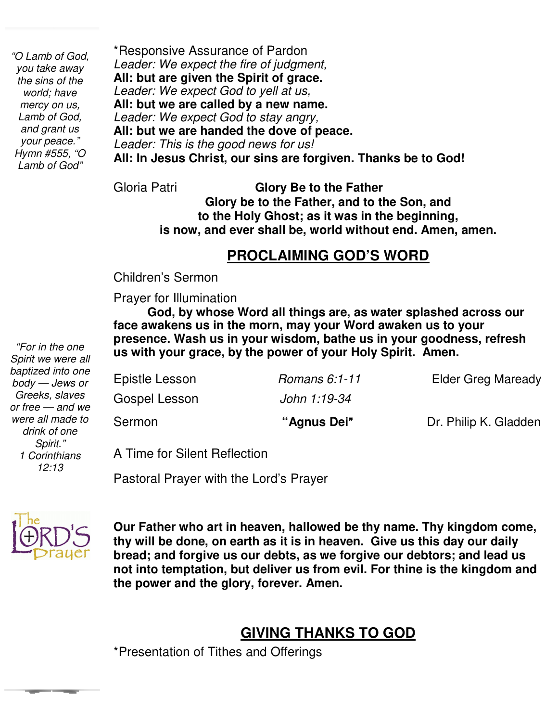*"O Lamb of God, you take away the sins of the world; have mercy on us, Lamb of God, and grant us your peace." Hymn #555, "O Lamb of God"* 

\*Responsive Assurance of Pardon *Leader: We expect the fire of judgment,* **All: but are given the Spirit of grace.** *Leader: We expect God to yell at us,* **All: but we are called by a new name.** *Leader: We expect God to stay angry,* **All: but we are handed the dove of peace.** *Leader: This is the good news for us!* **All: In Jesus Christ, our sins are forgiven. Thanks be to God!**

 **is now, and ever shall be, world without end. Amen, amen.**  Gloria Patri **Glory Be to the Father Glory be to the Father, and to the Son, and to the Holy Ghost; as it was in the beginning,** 

#### **PROCLAIMING GOD'S WORD**

Children's Sermon

 Prayer for Illumination

 **God, by whose Word all things are, as water splashed across our face awakens us in the morn, may your Word awaken us to your presence. Wash us in your wisdom, bathe us in your goodness, refresh us with your grace, by the power of your Holy Spirit. Amen.** 

| Sermon         | "Agnus Dei"   | Dr. Philip K. Gladden     |
|----------------|---------------|---------------------------|
| Gospel Lesson  | John 1:19-34  |                           |
| Epistle Lesson | Romans 6:1-11 | <b>Elder Greg Maready</b> |

A Time for Silent Reflection

Pastoral Prayer with the Lord's Prayer



 **bread; and forgive us our debts, as we forgive our debtors; and lead us Our Father who art in heaven, hallowed be thy name. Thy kingdom come, thy will be done, on earth as it is in heaven. Give us this day our daily not into temptation, but deliver us from evil. For thine is the kingdom and the power and the glory, forever. Amen.** 

### **GIVING THANKS TO GOD**

\*Presentation of Tithes and Offerings

 *"For in the one Spirit we were all baptized into one body — Jews or Greeks, slaves or free — and we were all made to drink of one Spirit." 1 Corinthians 12:13*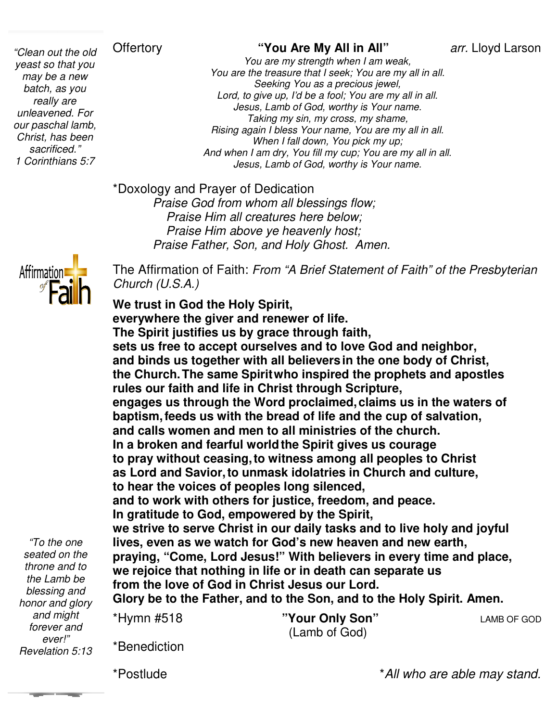#### **Offertory**

 *unleavened. For "Clean out the old yeast so that you may be a new batch, as you really are our paschal lamb, Christ, has been sacrificed." 1 Corinthians 5:7* 

arr. Lloyd Larson

*You are my strength when I am weak, You are the treasure that I seek; You are my all in all. Lord, to give up, I'd be a fool; You are my all in all. Jesus, Lamb of God, worthy is Your name. Taking my sin, my cross, my sha Rising again I bless Your name, You are my all in all. When I fall down, You pick my up; Aising again I bless Your name, You are my all in all.*<br>When I fall down, You pick my up;<br>And when I am dry, You fill my cup; You are my all in all. *Jesus, Lamb of God, worthy is Your name. old* Offertory **1990** "You Are My All in All" *arr.* Lloyd Larso<br> *You are my strength when I am weak,*<br> *W You are the treasure that I seek; You are my all in all.*<br> *Seeking You as a precious jewel,*<br> *Lord, to give u Seeking You as a precious jewel, a fool; You are my al<br>d, worthy is Your nan<br>my cross, my shame,* 

\*Doxology and Prayer of Dedication

*Praise God from whom all blessings flow; Praise Him all creatures here below; Praise Him above ye heavenly host; Praise Father, Son, and Holy Ghost. Amen.* Praise God from whom all blessings flow;<br>Praise Him all creatures here below;<br>*Praise Him above ye heavenly host;*<br>*Praise Father, Son, and Holy Ghost. Amen.*<br>The Affirmation of Faith: *From "A Brief Statement of Faith" of* 



*Church (U.S.A.)*

**We trust in God the Holy Spirit,** We trust in God the Holy Spirit,<br>everywhere the giver and renewer of life. **The Spirit justifies us by grace through faith, sets us free to accept ourselves and to love God and neighbor,** sets us free to accept ourselves and to love God and neighbor,<br>and binds us together with all believers in the one body of Christ, **the Church.The same Spirit The Spiritwho inspired the prophets and apostles** rules our faith and life in Christ through Scripture, **engages us through the Word proclaimed, proclaimed,claims us in the waters of baptism,feeds us with the bread of life and the cup of salvation, and calls women and men to all ministries of the church.** baptism, feeds us with the bread of life and the cup of sa<br>and calls women and men to all ministries of the church<br>In a broken and fearful world the Spirit gives us courage to pray without ceasing, to witness among all peoples to Christ **as Lord and Savior,to unmask idolatries in Church and culture, to hear the voices of peoples long silenced, and to work with others for justice, freedom, and peace. In gratitude to God, empowered by the Spirit,** as Lord and Savior, to unmask idolatries in Church and culture,<br>to hear the voices of peoples long silenced,<br>and to work with others for justice, freedom, and peace.<br>In gratitude to God, empowered by the Spirit,<br>we strive lives, even as we watch for God's new heaven and new earth, **praying, "Come, Lord Jesus!" praying, "Come, With believers in every time and place, we rejoice that nothing in in life or in death can separate us from the love of God in Christ Jesus our Lord. Glory be to the Father, and to the Son, and to the Holy Spirit. Amen. the** \*Hymn #518 "Your Only Son" (Lamb of God) claims us in the waters<br>I the cup of salvation,<br>of the church.<br>es us courage<br>all peoples to Christ<br>Church and culture,<br>,<br>,<br>,<br>,<br>, , , and peace.<br>rit,<br>and to live holy and joy **I AMB OF GOD** 

*"To the one seated on the throne and to the Lamb be blessing and honor and glory and might forever and ever!" Revelation 5:13*

\*Benediction

\*Postlude

\**All who are able may stand. stand.*